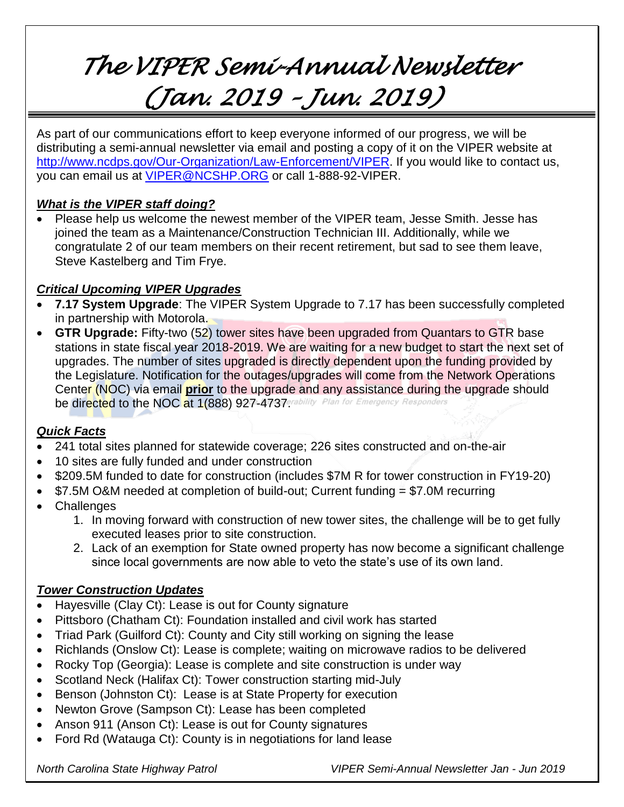# *The VIPER Semi-Annual Newsletter (Jan. 2019 – Jun. 2019)*

As part of our communications effort to keep everyone informed of our progress, we will be distributing a semi-annual newsletter via email and posting a copy of it on the VIPER website at [http://www.ncdps.gov/Our-Organization/Law-Enforcement/VIPER.](http://www.ncdps.gov/Our-Organization/Law-Enforcement/VIPER) If you would like to contact us, you can email us at [VIPER@NCSHP.ORG](mailto:VIPER@NCSHP.ORG) or call 1-888-92-VIPER.

# *What is the VIPER staff doing?*

• Please help us welcome the newest member of the VIPER team, Jesse Smith. Jesse has joined the team as a Maintenance/Construction Technician III. Additionally, while we congratulate 2 of our team members on their recent retirement, but sad to see them leave, Steve Kastelberg and Tim Frye.

# *Critical Upcoming VIPER Upgrades*

- **7.17 System Upgrade**: The VIPER System Upgrade to 7.17 has been successfully completed in partnership with Motorola.
- **GTR Upgrade:** Fifty-two (52) tower sites have been upgraded from Quantars to GTR base stations in state fiscal year 2018-2019. We are waiting for a new budget to start the next set of upgrades. The number of sites upgraded is directly dependent upon the funding provided by the Legislature. Notification for the outages/upgrades will come from the Network Operations Center (NOC) via email **prior** to the upgrade and any assistance during the upgrade should be directed to the NOC at 1(888) 927-4737erability Plan for Emergency Responders

# *Quick Facts*

- 241 total sites planned for statewide coverage; 226 sites constructed and on-the-air
- 10 sites are fully funded and under construction
- \$209.5M funded to date for construction (includes \$7M R for tower construction in FY19-20)
- $\bullet$  \$7.5M O&M needed at completion of build-out; Current funding = \$7.0M recurring
- Challenges
	- 1. In moving forward with construction of new tower sites, the challenge will be to get fully executed leases prior to site construction.
	- 2. Lack of an exemption for State owned property has now become a significant challenge since local governments are now able to veto the state's use of its own land.

### *Tower Construction Updates*

- Hayesville (Clay Ct): Lease is out for County signature
- Pittsboro (Chatham Ct): Foundation installed and civil work has started
- Triad Park (Guilford Ct): County and City still working on signing the lease
- Richlands (Onslow Ct): Lease is complete; waiting on microwave radios to be delivered
- Rocky Top (Georgia): Lease is complete and site construction is under way
- Scotland Neck (Halifax Ct): Tower construction starting mid-July
- Benson (Johnston Ct): Lease is at State Property for execution
- Newton Grove (Sampson Ct): Lease has been completed
- Anson 911 (Anson Ct): Lease is out for County signatures
- Ford Rd (Watauga Ct): County is in negotiations for land lease

*North Carolina State Highway Patrol VIPER Semi-Annual Newsletter Jan - Jun 2019*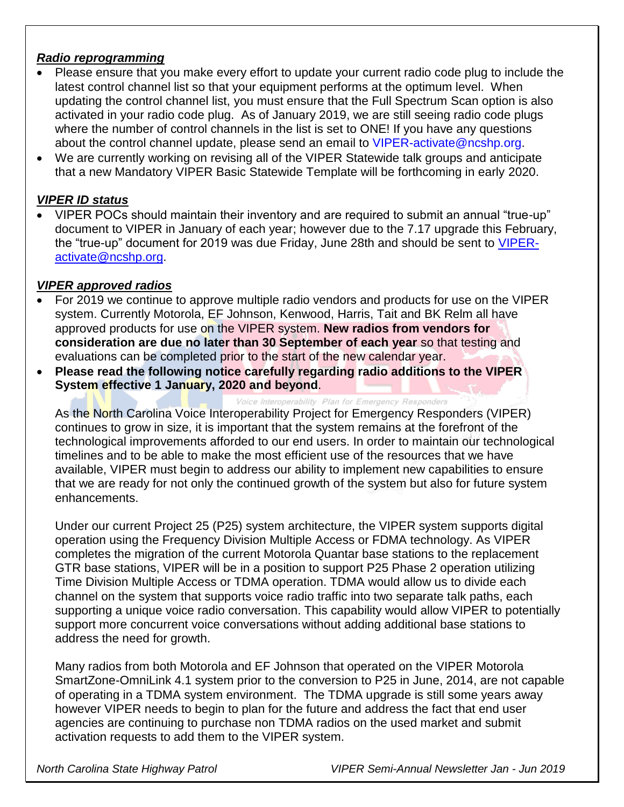#### *Radio reprogramming*

- Please ensure that you make every effort to update your current radio code plug to include the latest control channel list so that your equipment performs at the optimum level. When updating the control channel list, you must ensure that the Full Spectrum Scan option is also activated in your radio code plug. As of January 2019, we are still seeing radio code plugs where the number of control channels in the list is set to ONE! If you have any questions about the control channel update, please send an email to [VIPER-activate@ncshp.org.](mailto:VIPER-activate@ncshp.org)
- We are currently working on revising all of the VIPER Statewide talk groups and anticipate that a new Mandatory VIPER Basic Statewide Template will be forthcoming in early 2020.

#### *VIPER ID status*

 VIPER POCs should maintain their inventory and are required to submit an annual "true-up" document to VIPER in January of each year; however due to the 7.17 upgrade this February, the "true-up" document for 2019 was due Friday, June 28th and should be sent to [VIPER](mailto:VIPER-activate@ncshp.org)[activate@ncshp.org.](mailto:VIPER-activate@ncshp.org)

#### *VIPER approved radios*

- For 2019 we continue to approve multiple radio vendors and products for use on the VIPER system. Currently Motorola, EF Johnson, Kenwood, Harris, Tait and BK Relm all have approved products for use on the VIPER system. **New radios from vendors for consideration are due no later than 30 September of each year** so that testing and evaluations can be completed prior to the start of the new calendar year.
- **Please read the following notice carefully regarding radio additions to the VIPER System effective 1 January, 2020 and beyond**.

#### Voice Interoperability Plan for Emergency Responders

As the North Carolina Voice Interoperability Project for Emergency Responders (VIPER) continues to grow in size, it is important that the system remains at the forefront of the technological improvements afforded to our end users. In order to maintain our technological timelines and to be able to make the most efficient use of the resources that we have available, VIPER must begin to address our ability to implement new capabilities to ensure that we are ready for not only the continued growth of the system but also for future system enhancements.

Under our current Project 25 (P25) system architecture, the VIPER system supports digital operation using the Frequency Division Multiple Access or FDMA technology. As VIPER completes the migration of the current Motorola Quantar base stations to the replacement GTR base stations, VIPER will be in a position to support P25 Phase 2 operation utilizing Time Division Multiple Access or TDMA operation. TDMA would allow us to divide each channel on the system that supports voice radio traffic into two separate talk paths, each supporting a unique voice radio conversation. This capability would allow VIPER to potentially support more concurrent voice conversations without adding additional base stations to address the need for growth.

Many radios from both Motorola and EF Johnson that operated on the VIPER Motorola SmartZone-OmniLink 4.1 system prior to the conversion to P25 in June, 2014, are not capable of operating in a TDMA system environment. The TDMA upgrade is still some years away however VIPER needs to begin to plan for the future and address the fact that end user agencies are continuing to purchase non TDMA radios on the used market and submit activation requests to add them to the VIPER system.

*North Carolina State Highway Patrol VIPER Semi-Annual Newsletter Jan - Jun 2019*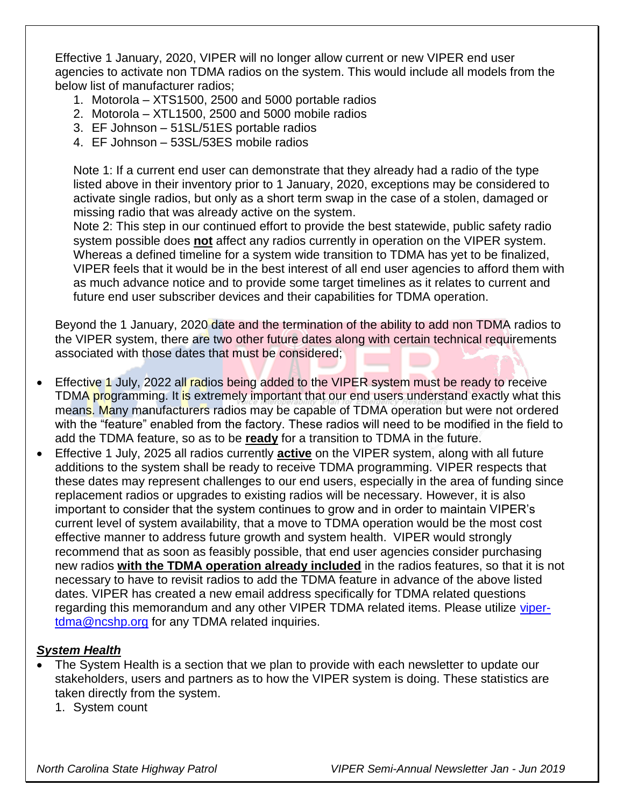Effective 1 January, 2020, VIPER will no longer allow current or new VIPER end user agencies to activate non TDMA radios on the system. This would include all models from the below list of manufacturer radios;

- 1. Motorola XTS1500, 2500 and 5000 portable radios
- 2. Motorola XTL1500, 2500 and 5000 mobile radios
- 3. EF Johnson 51SL/51ES portable radios
- 4. EF Johnson 53SL/53ES mobile radios

Note 1: If a current end user can demonstrate that they already had a radio of the type listed above in their inventory prior to 1 January, 2020, exceptions may be considered to activate single radios, but only as a short term swap in the case of a stolen, damaged or missing radio that was already active on the system.

Note 2: This step in our continued effort to provide the best statewide, public safety radio system possible does **not** affect any radios currently in operation on the VIPER system. Whereas a defined timeline for a system wide transition to TDMA has yet to be finalized, VIPER feels that it would be in the best interest of all end user agencies to afford them with as much advance notice and to provide some target timelines as it relates to current and future end user subscriber devices and their capabilities for TDMA operation.

Beyond the 1 January, 2020 date and the termination of the ability to add non TDMA radios to the VIPER system, there are two other future dates along with certain technical requirements associated with those dates that must be considered;

- Effective 1 July, 2022 all radios being added to the VIPER system must be ready to receive TDMA programming. It is extremely important that our end users understand exactly what this means. Many manufacturers radios may be capable of TDMA operation but were not ordered with the "feature" enabled from the factory. These radios will need to be modified in the field to add the TDMA feature, so as to be **ready** for a transition to TDMA in the future.
- Effective 1 July, 2025 all radios currently **active** on the VIPER system, along with all future additions to the system shall be ready to receive TDMA programming. VIPER respects that these dates may represent challenges to our end users, especially in the area of funding since replacement radios or upgrades to existing radios will be necessary. However, it is also important to consider that the system continues to grow and in order to maintain VIPER's current level of system availability, that a move to TDMA operation would be the most cost effective manner to address future growth and system health. VIPER would strongly recommend that as soon as feasibly possible, that end user agencies consider purchasing new radios **with the TDMA operation already included** in the radios features, so that it is not necessary to have to revisit radios to add the TDMA feature in advance of the above listed dates. VIPER has created a new email address specifically for TDMA related questions regarding this memorandum and any other VIPER TDMA related items. Please utilize [viper](mailto:viper-tdma@ncshp.org)[tdma@ncshp.org](mailto:viper-tdma@ncshp.org) for any TDMA related inquiries.

### *System Health*

- The System Health is a section that we plan to provide with each newsletter to update our stakeholders, users and partners as to how the VIPER system is doing. These statistics are taken directly from the system.
	- 1. System count